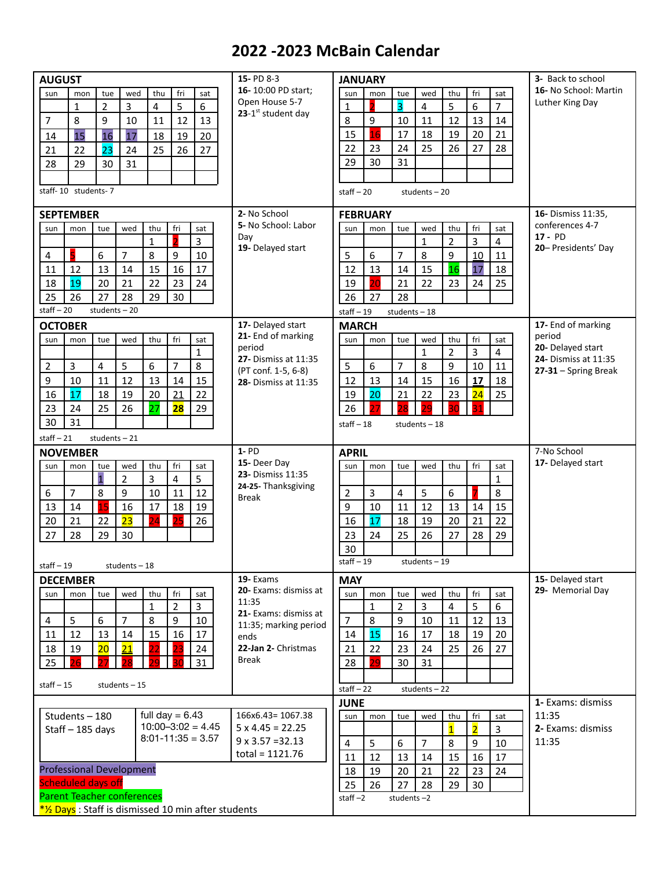## **2022 -2023 McBain Calendar**

| <b>AUGUST</b>                                       |                                   |                |                 |                  |                |                                                     | 15- PD 8-3                               | <b>JANUARY</b>              |                               |                         |                |                         |                    |                   | <b>3-</b> Back to school         |
|-----------------------------------------------------|-----------------------------------|----------------|-----------------|------------------|----------------|-----------------------------------------------------|------------------------------------------|-----------------------------|-------------------------------|-------------------------|----------------|-------------------------|--------------------|-------------------|----------------------------------|
| sun                                                 | mon                               | tue            | wed             | thu              | fri            | sat                                                 | 16-10:00 PD start:                       | sun                         | mon                           | tue                     | wed            | thu                     | fri                | sat               | 16- No School: Martin            |
|                                                     | $\mathbf{1}$                      | $\overline{2}$ | 3               | 4                | 5              | 6                                                   | Open House 5-7<br>23- $1st$ student day  | $\mathbf{1}$                |                               | $\overline{\mathbf{3}}$ | 4              | 5                       | 6                  | $\overline{7}$    | Luther King Day                  |
| $\overline{7}$                                      | 8                                 | 9              | 10              | 11               | 12             | 13                                                  |                                          | 8                           | 9                             | 10                      | 11             | 12                      | 13                 | 14                |                                  |
| 14                                                  | 15                                | 16             | 17              | 18               | 19             | 20                                                  |                                          | 15                          | 16                            | 17                      | 18             | 19                      | 20                 | 21                |                                  |
| 21                                                  | 22                                | 23             | 24              | 25               | 26             | 27                                                  |                                          | 22                          | 23                            | 24                      | 25             | 26                      | 27                 | 28                |                                  |
| 28                                                  | 29                                | 30             | 31              |                  |                |                                                     |                                          | 29                          | 30                            | 31                      |                |                         |                    |                   |                                  |
|                                                     |                                   |                |                 |                  |                |                                                     |                                          |                             |                               |                         |                |                         |                    |                   |                                  |
|                                                     | staff-10 students-7               |                |                 |                  |                |                                                     |                                          | $statf - 20$                |                               |                         | students $-20$ |                         |                    |                   |                                  |
| <b>SEPTEMBER</b>                                    |                                   |                |                 |                  |                |                                                     | 2- No School<br><b>FEBRUARY</b>          |                             |                               |                         |                |                         | 16- Dismiss 11:35, |                   |                                  |
| sun                                                 | mon                               | tue            | wed             | thu              | fri            | sat                                                 | 5- No School: Labor                      | sun                         | mon                           | tue                     | wed            | thu                     | fri                | sat               | conferences 4-7                  |
|                                                     |                                   |                |                 | $\mathbf{1}$     | $\overline{2}$ | 3                                                   | Day<br>19- Delayed start                 |                             |                               |                         | $\mathbf{1}$   | $\overline{2}$          | 3                  | 4                 | $17 - PD$<br>20- Presidents' Day |
| 4                                                   |                                   | 6              | $\overline{7}$  | 8                | 9              | 10                                                  |                                          | 5                           | 6                             | 7                       | 8              | 9                       | 10                 | 11                |                                  |
| 11                                                  | 12                                | 13             | 14              | 15               | 16             | 17                                                  |                                          | 12                          | 13                            | 14                      | 15             | 16                      | 17                 | 18                |                                  |
| 18                                                  | 19                                | 20             | 21              | 22               | 23             | 24                                                  |                                          | 19                          | 20                            | 21                      | 22             | 23                      | 24                 | 25                |                                  |
| 25                                                  | 26                                | 27             | 28              | 29               | 30             |                                                     |                                          | 26                          | 27                            | 28                      |                |                         |                    |                   |                                  |
| $statf - 20$<br>students-20                         |                                   |                |                 |                  |                |                                                     |                                          |                             | $stat - 19$<br>students $-18$ |                         |                |                         |                    |                   |                                  |
| <b>OCTOBER</b>                                      |                                   |                |                 |                  |                |                                                     | 17- Delayed start                        | <b>MARCH</b>                |                               |                         |                |                         |                    |                   | 17- End of marking               |
| sun                                                 | mon                               | tue            | wed             | thu              | fri            | sat                                                 | 21- End of marking<br>period             | sun                         | mon                           | tue                     | wed            | thu                     | fri                | sat               | period<br>20- Delayed start      |
|                                                     |                                   |                |                 |                  |                | $\mathbf{1}$                                        | 27- Dismiss at 11:35                     |                             |                               |                         | $\mathbf{1}$   | $\overline{2}$          | 3                  | 4                 | 24- Dismiss at 11:35             |
| $\overline{2}$                                      | $\overline{3}$                    | 4              | 5               | $\boldsymbol{6}$ | 7              | 8                                                   | (PT conf. 1-5, 6-8)                      | 5                           | 6                             | $\overline{7}$          | 8              | 9                       | 10                 | 11                | $27-31 -$ Spring Break           |
| 9                                                   | 10                                | 11             | 12              | 13               | 14             | 15                                                  | 28- Dismiss at 11:35                     | 12                          | 13                            | 14                      | 15             | 16                      | 17                 | 18                |                                  |
| 16                                                  | 17                                | 18             | 19              | 20               | 21             | 22                                                  |                                          | 19                          | 20                            | 21                      | 22             | 23                      | 24                 | 25                |                                  |
| 23                                                  | 24                                | 25             | 26              | 27               | <b>28</b>      | 29                                                  |                                          | 26                          |                               |                         |                |                         |                    |                   |                                  |
| 30<br>31                                            |                                   |                |                 |                  |                |                                                     |                                          |                             |                               |                         | students-18    |                         |                    |                   |                                  |
| staff $-21$                                         |                                   | students-21    |                 |                  |                |                                                     |                                          |                             |                               |                         |                |                         |                    |                   |                                  |
| <b>NOVEMBER</b>                                     |                                   |                |                 |                  |                |                                                     | $1 - PD$                                 | <b>APRIL</b>                |                               |                         |                |                         |                    | 7-No School       |                                  |
| sun                                                 | mon                               | tue            | wed             | thu              | fri            | sat                                                 | 15- Deer Day                             | sun                         | mon                           | tue                     | wed            | thu                     | fri                | sat               | 17- Delayed start                |
|                                                     |                                   | $\overline{1}$ | $\overline{2}$  | 3                | 4              | 5                                                   | 23- Dismiss 11:35<br>24-25- Thanksgiving |                             |                               |                         |                |                         |                    | $\mathbf{1}$      |                                  |
| 6                                                   | $\overline{7}$                    | 8              | 9               | 10               | 11             | 12                                                  | <b>Break</b>                             | 2                           | 3                             | 4                       | 5              | 6                       |                    | 8                 |                                  |
| 13                                                  | 14                                | 15             | 16              | 17               | 18             | 19                                                  |                                          | 9                           | 10                            | 11                      | 12             | 13                      | 14                 | 15                |                                  |
| 20                                                  | 21                                | 22             | 23              | 24               | 25             | 26                                                  |                                          | 16                          | 17                            | 18                      | 19             | 20                      | 21                 | 22                |                                  |
| 27                                                  | 28                                | 29             | 30              |                  |                |                                                     |                                          | 23                          | 24                            | 25                      | 26             | 27                      | 28                 | 29                |                                  |
|                                                     |                                   |                |                 |                  |                |                                                     |                                          | 30                          |                               |                         |                |                         |                    |                   |                                  |
| $statf - 19$                                        |                                   |                | students $-18$  |                  |                |                                                     |                                          | $statf - 19$<br>students-19 |                               |                         |                |                         |                    |                   |                                  |
|                                                     | <b>DECEMBER</b>                   |                |                 |                  |                |                                                     | 19- Exams                                | <b>MAY</b>                  |                               |                         |                |                         |                    | 15- Delayed start |                                  |
| sun                                                 | mon                               | tue            | wed             | thu              | fri            | sat                                                 | 20- Exams: dismiss at                    | sun                         | mon                           | tue                     | wed            | thu                     | fri                | sat               | 29- Memorial Day                 |
|                                                     |                                   |                |                 | $\mathbf{1}$     | $\overline{2}$ | 3                                                   | 11:35<br>21- Exams: dismiss at           |                             | $\mathbf{1}$                  | $\overline{2}$          | 3              | 4                       | 5                  | 6                 |                                  |
| $\overline{4}$                                      | 5                                 | 6              | $\overline{7}$  | 8                | 9              | 10                                                  | 11:35; marking period                    | $\overline{7}$              | $\,8\,$                       | 9                       | 10             | 11                      | 12                 | 13                |                                  |
| 11                                                  | 12                                | 13             | 14              | 15               | 16             | 17                                                  | ends                                     | 14                          | 15                            | 16                      | 17             | 18                      | 19                 | 20                |                                  |
| 18                                                  | 19                                | 20             | $\overline{21}$ | 22               | 23             | 24                                                  | 22-Jan 2- Christmas                      | 21                          | 22                            | 23                      | 24             | 25                      | 26                 | 27                |                                  |
| 25                                                  |                                   |                |                 | 29.              | RO             | 31                                                  | Break                                    | 28                          | 29                            | 30                      | 31             |                         |                    |                   |                                  |
| staff $-15$<br>students $-15$                       |                                   |                |                 |                  |                |                                                     |                                          |                             |                               |                         |                |                         |                    |                   |                                  |
|                                                     |                                   |                |                 |                  |                |                                                     |                                          | $statf - 22$<br>students-22 |                               |                         |                |                         |                    |                   |                                  |
|                                                     |                                   |                |                 |                  |                |                                                     |                                          | <b>JUNE</b>                 |                               |                         |                |                         |                    |                   | 1- Exams: dismiss                |
| full day $= 6.43$<br>Students-180<br>Staff-185 days |                                   |                |                 |                  |                |                                                     | 166x6.43= 1067.38                        | sun                         | mon                           | tue                     | wed            | thu                     | fri                | sat               | 11:35                            |
|                                                     |                                   |                |                 |                  |                | $10:00 - 3:02 = 4.45$<br>$8:01 - 11:35 = 3.57$      | $5 \times 4.45 = 22.25$                  |                             |                               |                         |                | $\overline{\mathbf{1}}$ | $\overline{2}$     | 3                 | 2- Exams: dismiss                |
|                                                     |                                   |                |                 |                  |                |                                                     | $9 \times 3.57 = 32.13$                  | $\overline{4}$              | 5                             | 6                       | $\overline{7}$ | $\,8\,$                 | $\boldsymbol{9}$   | 10                | 11:35                            |
|                                                     |                                   |                |                 |                  |                |                                                     | $total = 1121.76$                        | 11                          | 12                            | 13                      | 14             | 15                      | 16                 | 17                |                                  |
|                                                     | <b>Professional Development</b>   |                |                 |                  |                |                                                     |                                          | 18                          | 19                            | 20                      | 21             | 22                      | 23                 | 24                |                                  |
|                                                     |                                   |                |                 |                  |                |                                                     |                                          |                             |                               |                         |                |                         |                    |                   |                                  |
|                                                     | <b>Scheduled days off</b>         |                |                 |                  |                |                                                     |                                          | 25                          | 26                            | 27                      | 28             | 29                      | 30                 |                   |                                  |
|                                                     | <b>Parent Teacher conferences</b> |                |                 |                  |                | *1/2 Days: Staff is dismissed 10 min after students |                                          | staff $-2$                  |                               | students-2              |                |                         |                    |                   |                                  |